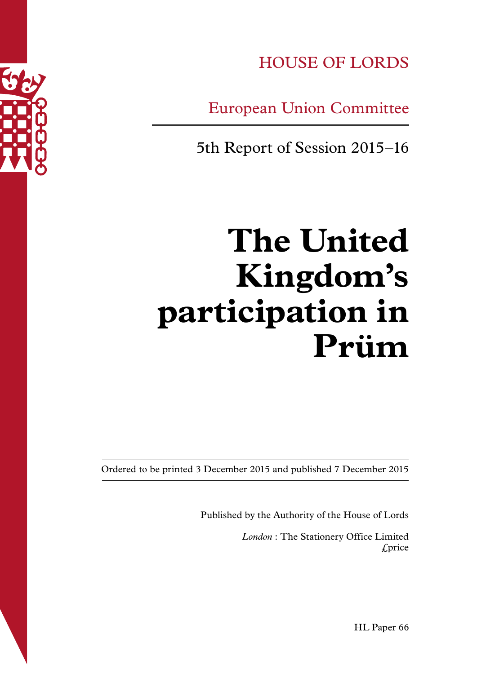

HOUSE OF LORDS

European Union Committee

5th Report of Session 2015–16

# **The United Kingdom's participation in Prüm**

Ordered to be printed 3 December 2015 and published 7 December 2015

Published by the Authority of the House of Lords

*London* : The Stationery Office Limited £price

HL Paper 66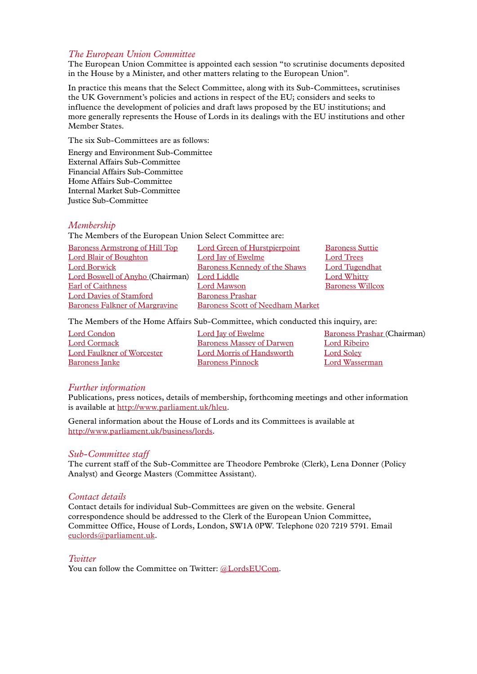#### *The European Union Committee*

The European Union Committee is appointed each session "to scrutinise documents deposited in the House by a Minister, and other matters relating to the European Union".

In practice this means that the Select Committee, along with its Sub-Committees, scrutinises the UK Government's policies and actions in respect of the EU; considers and seeks to influence the development of policies and draft laws proposed by the EU institutions; and more generally represents the House of Lords in its dealings with the EU institutions and other Member States.

The six Sub-Committees are as follows:

Energy and Environment Sub-Committee External Affairs Sub-Committee Financial Affairs Sub-Committee Home Affairs Sub-Committee Internal Market Sub-Committee Justice Sub-Committee

#### *Membership*

The Members of the European Union Select Committee are:

| <b>Baroness Armstrong of Hill Top</b> | <b>Lord Green of Hurstpierpoint</b>     | <b>Baroness Suttie</b>  |
|---------------------------------------|-----------------------------------------|-------------------------|
| <b>Lord Blair of Boughton</b>         | Lord Jay of Ewelme                      | <b>Lord Trees</b>       |
| <b>Lord Borwick</b>                   | <b>Baroness Kennedy of the Shaws</b>    | <b>Lord Tugendhat</b>   |
| Lord Boswell of Anyho (Chairman)      | Lord Liddle                             | <b>Lord Whitty</b>      |
| Earl of Caithness                     | Lord Mawson                             | <b>Baroness Willcox</b> |
| <b>Lord Davies of Stamford</b>        | <b>Baroness Prashar</b>                 |                         |
| <b>Baroness Falkner of Margravine</b> | <b>Baroness Scott of Needham Market</b> |                         |
|                                       |                                         |                         |

The Members of the Home Affairs Sub-Committee, which conducted this inquiry, are:

| Lord Condon                       | Lord Jay of Ewelme               | <b>Baroness Prashar (Chairman)</b> |
|-----------------------------------|----------------------------------|------------------------------------|
| Lord Cormack                      | Baroness Massey of Darwen        | Lord Ribeiro                       |
| <b>Lord Faulkner of Worcester</b> | <b>Lord Morris of Handsworth</b> | <b>Lord Soley</b>                  |
| <b>Baroness Janke</b>             | <b>Baroness Pinnock</b>          | Lord Wasserman                     |
|                                   |                                  |                                    |

#### *Further information*

Publications, press notices, details of membership, forthcoming meetings and other information is available at<http://www.parliament.uk/hleu>.

General information about the House of Lords and its Committees is available at [http://www.parliament.uk/business/lords](http://www.parliament.uk/business/lords/).

#### *Sub-Committee staff*

The current staff of the Sub-Committee are Theodore Pembroke (Clerk), Lena Donner (Policy Analyst) and George Masters (Committee Assistant).

#### *Contact details*

Contact details for individual Sub-Committees are given on the website. General correspondence should be addressed to the Clerk of the European Union Committee, Committee Office, House of Lords, London, SW1A 0PW. Telephone 020 7219 5791. Email [euclords@parliament.uk](mailto:euclords@parliament.uk).

#### *Twitter*

You can follow the Committee on Twitter: [@LordsEUCom](http://www.twitter.com/lordseucom).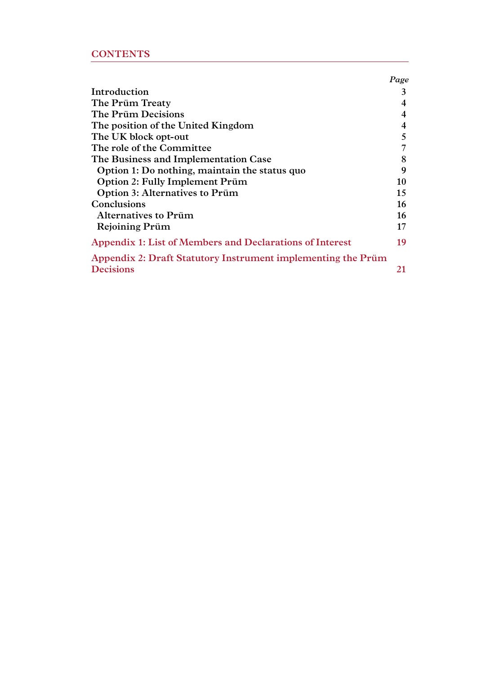# **CONTENTS**

|                                                              | Page |
|--------------------------------------------------------------|------|
| Introduction                                                 | 3    |
| The Prüm Treaty                                              | 4    |
| The Prüm Decisions                                           | 4    |
| The position of the United Kingdom                           | 4    |
| The UK block opt-out                                         | 5    |
| The role of the Committee                                    | 7    |
| The Business and Implementation Case                         |      |
| Option 1: Do nothing, maintain the status quo                | 9    |
| Option 2: Fully Implement Prüm                               | 10   |
| <b>Option 3: Alternatives to Prüm</b>                        | 15   |
| Conclusions                                                  | 16   |
| <b>Alternatives to Prüm</b>                                  | 16   |
| <b>Rejoining Prüm</b>                                        | 17   |
| Appendix 1: List of Members and Declarations of Interest     | 19   |
| Appendix 2: Draft Statutory Instrument implementing the Prüm |      |
| <b>Decisions</b>                                             | 21   |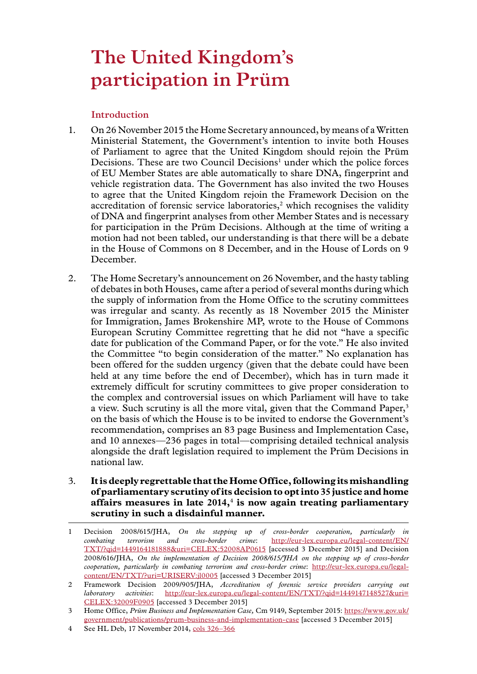# <span id="page-4-0"></span>**The United Kingdom's participation in Prüm**

# **Introduction**

- 1. On 26 November 2015 the Home Secretary announced, by means of a Written Ministerial Statement, the Government's intention to invite both Houses of Parliament to agree that the United Kingdom should rejoin the Prüm Decisions. These are two Council Decisions<sup>1</sup> under which the police forces of EU Member States are able automatically to share DNA, fingerprint and vehicle registration data. The Government has also invited the two Houses to agree that the United Kingdom rejoin the Framework Decision on the accreditation of forensic service laboratories, $2$  which recognises the validity of DNA and fingerprint analyses from other Member States and is necessary for participation in the Prüm Decisions. Although at the time of writing a motion had not been tabled, our understanding is that there will be a debate in the House of Commons on 8 December, and in the House of Lords on 9 December.
- 2. The Home Secretary's announcement on 26 November, and the hasty tabling of debates in both Houses, came after a period of several months during which the supply of information from the Home Office to the scrutiny committees was irregular and scanty. As recently as 18 November 2015 the Minister for Immigration, James Brokenshire MP, wrote to the House of Commons European Scrutiny Committee regretting that he did not "have a specific date for publication of the Command Paper, or for the vote." He also invited the Committee "to begin consideration of the matter." No explanation has been offered for the sudden urgency (given that the debate could have been held at any time before the end of December), which has in turn made it extremely difficult for scrutiny committees to give proper consideration to the complex and controversial issues on which Parliament will have to take a view. Such scrutiny is all the more vital, given that the Command Paper,<sup>3</sup> on the basis of which the House is to be invited to endorse the Government's recommendation, comprises an 83 page Business and Implementation Case, and 10 annexes—236 pages in total—comprising detailed technical analysis alongside the draft legislation required to implement the Prüm Decisions in national law.
- 3. **It is deeply regrettable that the Home Office, following its mishandling of parliamentary scrutiny of its decision to opt into 35 justice and home affairs measures in late 2014,**<sup>4</sup>  **is now again treating parliamentary scrutiny in such a disdainful manner.**

<sup>1</sup> Decision 2008/615/JHA, *On the stepping up of cross-border cooperation, particularly in combating terrorism and cross-border crime*: [http://eur-lex.europa.eu/legal-content/EN/](http://eur-lex.europa.eu/legal-content/EN/TXT/?qid=1449164181888&uri=CELEX:52008AP0615%20) [TXT/?qid=1449164181888&uri=CELEX:52008AP0615](http://eur-lex.europa.eu/legal-content/EN/TXT/?qid=1449164181888&uri=CELEX:52008AP0615%20) [accessed 3 December 2015] and Decision 2008/616/JHA, *On the implementation of Decision 2008/615/JHA on the stepping up of cross-border cooperation, particularly in combating terrorism and cross-border crime*: [http://eur-lex.europa.eu/legal](http://eur-lex.europa.eu/legal-content/EN/TXT/?uri=URISERV:jl0005)[content/EN/TXT/?uri=URISERV:jl0005](http://eur-lex.europa.eu/legal-content/EN/TXT/?uri=URISERV:jl0005) [accessed 3 December 2015]

<sup>2</sup> Framework Decision 2009/905/JHA, *Accreditation of forensic service providers carrying out laboratory activities*: [http://eur-lex.europa.eu/legal-content/EN/TXT/?qid=1449147148527&uri=](http://eur-lex.europa.eu/legal-content/EN/TXT/?qid=1449147148527&uri=CELEX:32009F0905) [CELEX:32009F0905](http://eur-lex.europa.eu/legal-content/EN/TXT/?qid=1449147148527&uri=CELEX:32009F0905) [accessed 3 December 2015]

<sup>3</sup> Home Office, *Prüm Business and Implementation Case,* Cm 9149, September 2015: [https://www.gov.uk/](https://www.gov.uk/government/publications/prum-business-and-implementation-case) [government/publications/prum-business-and-implementation-case](https://www.gov.uk/government/publications/prum-business-and-implementation-case) [accessed 3 December 2015]

<sup>4</sup> See HL Deb, 17 November 2014, [cols 326–366](http://www.publications.parliament.uk/pa/ld201415/ldhansrd/text/141117-0003.htm#14111741000189)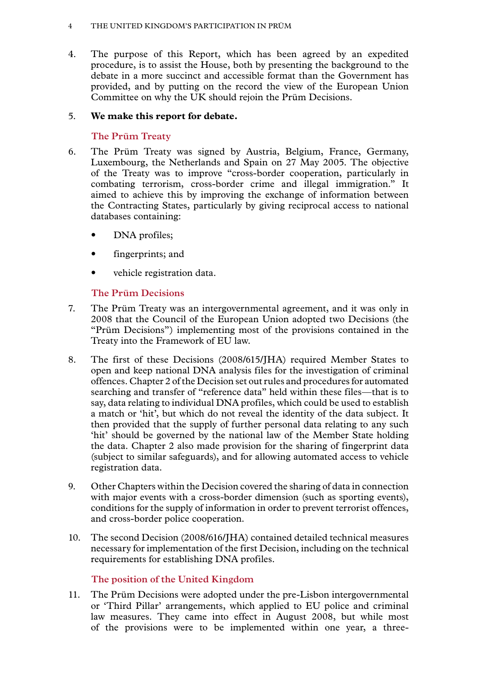#### <span id="page-5-0"></span>4 The United Kingdom's participation in Prüm

4. The purpose of this Report, which has been agreed by an expedited procedure, is to assist the House, both by presenting the background to the debate in a more succinct and accessible format than the Government has provided, and by putting on the record the view of the European Union Committee on why the UK should rejoin the Prüm Decisions.

# 5. **We make this report for debate.**

# **The Prüm Treaty**

- 6. The Prüm Treaty was signed by Austria, Belgium, France, Germany, Luxembourg, the Netherlands and Spain on 27 May 2005. The objective of the Treaty was to improve "cross-border cooperation, particularly in combating terrorism, cross-border crime and illegal immigration." It aimed to achieve this by improving the exchange of information between the Contracting States, particularly by giving reciprocal access to national databases containing:
	- DNA profiles;
	- fingerprints; and
	- vehicle registration data.

# **The Prüm Decisions**

- 7. The Prüm Treaty was an intergovernmental agreement, and it was only in 2008 that the Council of the European Union adopted two Decisions (the "Prüm Decisions") implementing most of the provisions contained in the Treaty into the Framework of EU law.
- 8. The first of these Decisions (2008/615/JHA) required Member States to open and keep national DNA analysis files for the investigation of criminal offences. Chapter 2 of the Decision set out rules and procedures for automated searching and transfer of "reference data" held within these files—that is to say, data relating to individual DNA profiles, which could be used to establish a match or 'hit', but which do not reveal the identity of the data subject. It then provided that the supply of further personal data relating to any such 'hit' should be governed by the national law of the Member State holding the data. Chapter 2 also made provision for the sharing of fingerprint data (subject to similar safeguards), and for allowing automated access to vehicle registration data.
- 9. Other Chapters within the Decision covered the sharing of data in connection with major events with a cross-border dimension (such as sporting events), conditions for the supply of information in order to prevent terrorist offences, and cross-border police cooperation.
- 10. The second Decision (2008/616/JHA) contained detailed technical measures necessary for implementation of the first Decision, including on the technical requirements for establishing DNA profiles.

# **The position of the United Kingdom**

11. The Prüm Decisions were adopted under the pre-Lisbon intergovernmental or 'Third Pillar' arrangements, which applied to EU police and criminal law measures. They came into effect in August 2008, but while most of the provisions were to be implemented within one year, a three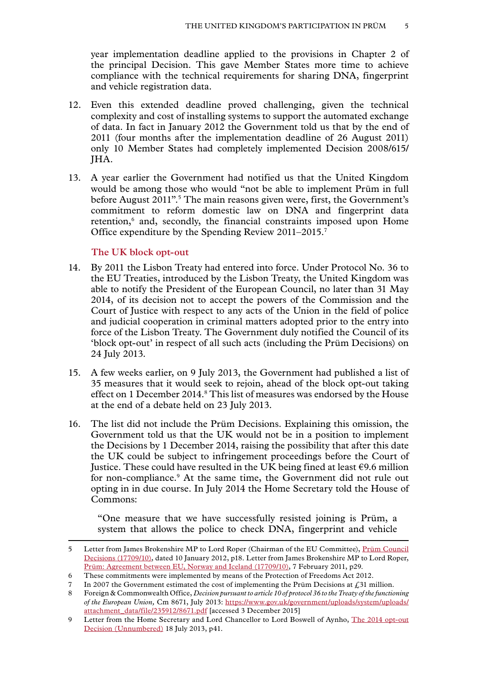<span id="page-6-0"></span>year implementation deadline applied to the provisions in Chapter 2 of the principal Decision. This gave Member States more time to achieve compliance with the technical requirements for sharing DNA, fingerprint and vehicle registration data.

- 12. Even this extended deadline proved challenging, given the technical complexity and cost of installing systems to support the automated exchange of data. In fact in January 2012 the Government told us that by the end of 2011 (four months after the implementation deadline of 26 August 2011) only 10 Member States had completely implemented Decision 2008/615/ JHA.
- 13. A year earlier the Government had notified us that the United Kingdom would be among those who would "not be able to implement Prüm in full before August 2011".<sup>5</sup> The main reasons given were, first, the Government's commitment to reform domestic law on DNA and fingerprint data retention,<sup>6</sup> and, secondly, the financial constraints imposed upon Home Office expenditure by the Spending Review 2011–2015.7

#### **The UK block opt-out**

- 14. By 2011 the Lisbon Treaty had entered into force. Under Protocol No. 36 to the EU Treaties, introduced by the Lisbon Treaty, the United Kingdom was able to notify the President of the European Council, no later than 31 May 2014, of its decision not to accept the powers of the Commission and the Court of Justice with respect to any acts of the Union in the field of police and judicial cooperation in criminal matters adopted prior to the entry into force of the Lisbon Treaty. The Government duly notified the Council of its 'block opt-out' in respect of all such acts (including the Prüm Decisions) on 24 July 2013.
- 15. A few weeks earlier, on 9 July 2013, the Government had published a list of 35 measures that it would seek to rejoin, ahead of the block opt-out taking effect on 1 December 2014.<sup>8</sup> This list of measures was endorsed by the House at the end of a debate held on 23 July 2013.
- 16. The list did not include the Prüm Decisions. Explaining this omission, the Government told us that the UK would not be in a position to implement the Decisions by 1 December 2014, raising the possibility that after this date the UK could be subject to infringement proceedings before the Court of Justice. These could have resulted in the UK being fined at least  $\epsilon$ 9.6 million for non-compliance.9 At the same time, the Government did not rule out opting in in due course. In July 2014 the Home Secretary told the House of Commons:

"One measure that we have successfully resisted joining is Prüm, a system that allows the police to check DNA, fingerprint and vehicle

<sup>5</sup> Letter from James Brokenshire MP to Lord Roper (Chairman of the EU Committee), [Prüm Council](http://www.parliament.uk/documents/lords-committees/eu-sub-com-f/cwm/CwMSubFDec11-Mar12.pdf) [Decisions \(17709/10\),](http://www.parliament.uk/documents/lords-committees/eu-sub-com-f/cwm/CwMSubFDec11-Mar12.pdf) dated 10 January 2012, p18. Letter from James Brokenshire MP to Lord Roper, [Prüm: Agreement between EU, Norway and Iceland \(17709/10\)](http://www.parliament.uk/documents/lords-committees/eu-sub-com-f/cwm/CwMSubFDec10-May11.pdf), 7 February 2011, p29.

<sup>6</sup> These commitments were implemented by means of the Protection of Freedoms Act 2012.

<sup>7</sup> In 2007 the Government estimated the cost of implementing the Prüm Decisions at  $\ell$ . 31 million.

<sup>8</sup> Foreign & Commonwealth Office, *Decision pursuant to article 10 of protocol 36 to the Treaty of the functioning of the European Union,* Cm 8671, July 2013: [https://www.gov.uk/government/uploads/system/uploads/](https://www.gov.uk/government/uploads/system/uploads/attachment_data/file/235912/8671.pdf) [attachment\\_data/file/235912/8671.pdf](https://www.gov.uk/government/uploads/system/uploads/attachment_data/file/235912/8671.pdf) [accessed 3 December 2015]

<sup>9</sup> Letter from the Home Secretary and Lord Chancellor to Lord Boswell of Aynho, [The 2014 opt-out](http://www.parliament.uk/documents/lords-committees/eu-sub-com-f/cwm/cwm2013-14/CwMsubF9May2013-31August2013.pdf) [Decision \(Unnumbered\)](http://www.parliament.uk/documents/lords-committees/eu-sub-com-f/cwm/cwm2013-14/CwMsubF9May2013-31August2013.pdf) 18 July 2013, p41.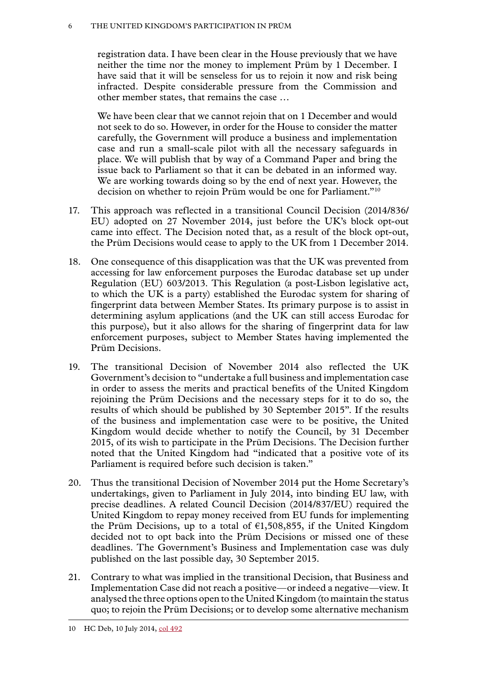#### 6 The United Kingdom's participation in Prüm

registration data. I have been clear in the House previously that we have neither the time nor the money to implement Prüm by 1 December. I have said that it will be senseless for us to rejoin it now and risk being infracted. Despite considerable pressure from the Commission and other member states, that remains the case …

We have been clear that we cannot rejoin that on 1 December and would not seek to do so. However, in order for the House to consider the matter carefully, the Government will produce a business and implementation case and run a small-scale pilot with all the necessary safeguards in place. We will publish that by way of a Command Paper and bring the issue back to Parliament so that it can be debated in an informed way. We are working towards doing so by the end of next year. However, the decision on whether to rejoin Prüm would be one for Parliament."10

- 17. This approach was reflected in a transitional Council Decision (2014/836/ EU) adopted on 27 November 2014, just before the UK's block opt-out came into effect. The Decision noted that, as a result of the block opt-out, the Prüm Decisions would cease to apply to the UK from 1 December 2014.
- 18. One consequence of this disapplication was that the UK was prevented from accessing for law enforcement purposes the Eurodac database set up under Regulation (EU) 603/2013. This Regulation (a post-Lisbon legislative act, to which the UK is a party) established the Eurodac system for sharing of fingerprint data between Member States. Its primary purpose is to assist in determining asylum applications (and the UK can still access Eurodac for this purpose), but it also allows for the sharing of fingerprint data for law enforcement purposes, subject to Member States having implemented the Prüm Decisions.
- 19. The transitional Decision of November 2014 also reflected the UK Government's decision to "undertake a full business and implementation case in order to assess the merits and practical benefits of the United Kingdom rejoining the Prüm Decisions and the necessary steps for it to do so, the results of which should be published by 30 September 2015". If the results of the business and implementation case were to be positive, the United Kingdom would decide whether to notify the Council, by 31 December 2015, of its wish to participate in the Prüm Decisions. The Decision further noted that the United Kingdom had "indicated that a positive vote of its Parliament is required before such decision is taken."
- 20. Thus the transitional Decision of November 2014 put the Home Secretary's undertakings, given to Parliament in July 2014, into binding EU law, with precise deadlines. A related Council Decision (2014/837/EU) required the United Kingdom to repay money received from EU funds for implementing the Prüm Decisions, up to a total of  $\epsilon$ 1,508,855, if the United Kingdom decided not to opt back into the Prüm Decisions or missed one of these deadlines. The Government's Business and Implementation case was duly published on the last possible day, 30 September 2015.
- 21. Contrary to what was implied in the transitional Decision, that Business and Implementation Case did not reach a positive—or indeed a negative—view. It analysed the three options open to the United Kingdom (to maintain the status quo; to rejoin the Prüm Decisions; or to develop some alternative mechanism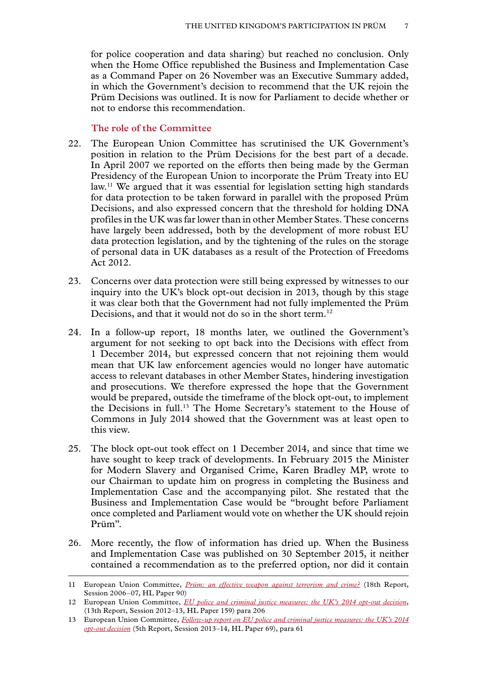<span id="page-8-0"></span>for police cooperation and data sharing) but reached no conclusion. Only when the Home Office republished the Business and Implementation Case as a Command Paper on 26 November was an Executive Summary added, in which the Government's decision to recommend that the UK rejoin the Prüm Decisions was outlined. It is now for Parliament to decide whether or not to endorse this recommendation.

#### **The role of the Committee**

- 22. The European Union Committee has scrutinised the UK Government's position in relation to the Prüm Decisions for the best part of a decade. In April 2007 we reported on the efforts then being made by the German Presidency of the European Union to incorporate the Prüm Treaty into EU law.11 We argued that it was essential for legislation setting high standards for data protection to be taken forward in parallel with the proposed Prüm Decisions, and also expressed concern that the threshold for holding DNA profiles in the UK was far lower than in other Member States. These concerns have largely been addressed, both by the development of more robust EU data protection legislation, and by the tightening of the rules on the storage of personal data in UK databases as a result of the Protection of Freedoms Act 2012.
- 23. Concerns over data protection were still being expressed by witnesses to our inquiry into the UK's block opt-out decision in 2013, though by this stage it was clear both that the Government had not fully implemented the Prüm Decisions, and that it would not do so in the short term.<sup>12</sup>
- 24. In a follow-up report, 18 months later, we outlined the Government's argument for not seeking to opt back into the Decisions with effect from 1 December 2014, but expressed concern that not rejoining them would mean that UK law enforcement agencies would no longer have automatic access to relevant databases in other Member States, hindering investigation and prosecutions. We therefore expressed the hope that the Government would be prepared, outside the timeframe of the block opt-out, to implement the Decisions in full.13 The Home Secretary's statement to the House of Commons in July 2014 showed that the Government was at least open to this view.
- 25. The block opt-out took effect on 1 December 2014, and since that time we have sought to keep track of developments. In February 2015 the Minister for Modern Slavery and Organised Crime, Karen Bradley MP, wrote to our Chairman to update him on progress in completing the Business and Implementation Case and the accompanying pilot. She restated that the Business and Implementation Case would be "brought before Parliament once completed and Parliament would vote on whether the UK should rejoin Prüm".
- 26. More recently, the flow of information has dried up. When the Business and Implementation Case was published on 30 September 2015, it neither contained a recommendation as to the preferred option, nor did it contain

<sup>11</sup> European Union Committee, *[Prüm: an effective weapon against terrorism and crime?](http://www.publications.parliament.uk/pa/ld200607/ldselect/ldeucom/90/9002.htm)* (18th Report, Session 2006–07, HL Paper 90)

<sup>12</sup> European Union Committee, *[EU police and criminal justice measures: the UK's 2014 opt-out decision](http://www.publications.parliament.uk/pa/ld201213/ldselect/ldeucom/159/15902.htm)*, (13th Report, Session 2012–13, HL Paper 159) para 206

<sup>13</sup> European Union Committee, *[Follow-up report on EU police and criminal justice measures: the UK's 2014](http://www.publications.parliament.uk/pa/ld201314/ldselect/ldeucom/69/6902.htm) [opt-out decision](http://www.publications.parliament.uk/pa/ld201314/ldselect/ldeucom/69/6902.htm)* (5th Report, Session 2013–14, HL Paper 69), para 61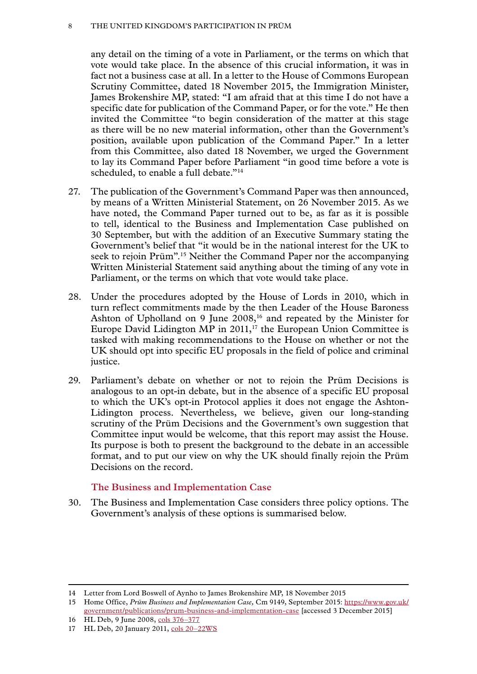#### <span id="page-9-0"></span>8 The United Kingdom's participation in Prüm

any detail on the timing of a vote in Parliament, or the terms on which that vote would take place. In the absence of this crucial information, it was in fact not a business case at all. In a letter to the House of Commons European Scrutiny Committee, dated 18 November 2015, the Immigration Minister, James Brokenshire MP, stated: "I am afraid that at this time I do not have a specific date for publication of the Command Paper, or for the vote." He then invited the Committee "to begin consideration of the matter at this stage as there will be no new material information, other than the Government's position, available upon publication of the Command Paper." In a letter from this Committee, also dated 18 November, we urged the Government to lay its Command Paper before Parliament "in good time before a vote is scheduled, to enable a full debate."<sup>14</sup>

- 27. The publication of the Government's Command Paper was then announced, by means of a Written Ministerial Statement, on 26 November 2015. As we have noted, the Command Paper turned out to be, as far as it is possible to tell, identical to the Business and Implementation Case published on 30 September, but with the addition of an Executive Summary stating the Government's belief that "it would be in the national interest for the UK to seek to rejoin Prüm".15 Neither the Command Paper nor the accompanying Written Ministerial Statement said anything about the timing of any vote in Parliament, or the terms on which that vote would take place.
- 28. Under the procedures adopted by the House of Lords in 2010, which in turn reflect commitments made by the then Leader of the House Baroness Ashton of Upholland on 9 June 2008,<sup>16</sup> and repeated by the Minister for Europe David Lidington MP in  $2011$ ,<sup>17</sup> the European Union Committee is tasked with making recommendations to the House on whether or not the UK should opt into specific EU proposals in the field of police and criminal justice.
- 29. Parliament's debate on whether or not to rejoin the Prüm Decisions is analogous to an opt-in debate, but in the absence of a specific EU proposal to which the UK's opt-in Protocol applies it does not engage the Ashton-Lidington process. Nevertheless, we believe, given our long-standing scrutiny of the Prüm Decisions and the Government's own suggestion that Committee input would be welcome, that this report may assist the House. Its purpose is both to present the background to the debate in an accessible format, and to put our view on why the UK should finally rejoin the Prüm Decisions on the record.

# **The Business and Implementation Case**

30. The Business and Implementation Case considers three policy options. The Government's analysis of these options is summarised below.

<sup>14</sup> Letter from Lord Boswell of Aynho to James Brokenshire MP, 18 November 2015

<sup>15</sup> Home Office, *Prüm Business and Implementation Case,* Cm 9149, September 2015: [https://www.gov.uk/](https://www.gov.uk/government/publications/prum-business-and-implementation-case) [government/publications/prum-business-and-implementation-case](https://www.gov.uk/government/publications/prum-business-and-implementation-case) [accessed 3 December 2015]

<sup>16</sup> HL Deb, 9 June 2008, [cols 376–377](http://www.publications.parliament.uk/pa/ld200708/ldhansrd/text/80609-0003.htm)

<sup>17</sup> HL Deb, 20 January 2011, cols 20-22WS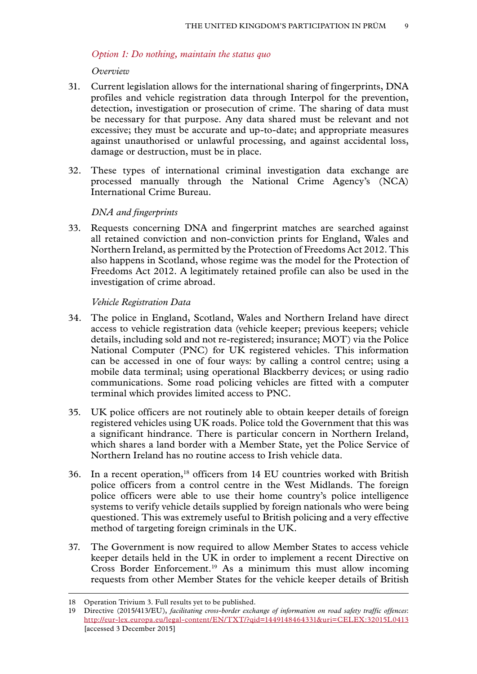#### <span id="page-10-0"></span>*Option 1: Do nothing, maintain the status quo*

#### *Overview*

- 31. Current legislation allows for the international sharing of fingerprints, DNA profiles and vehicle registration data through Interpol for the prevention, detection, investigation or prosecution of crime. The sharing of data must be necessary for that purpose. Any data shared must be relevant and not excessive; they must be accurate and up-to-date; and appropriate measures against unauthorised or unlawful processing, and against accidental loss, damage or destruction, must be in place.
- 32. These types of international criminal investigation data exchange are processed manually through the National Crime Agency's (NCA) International Crime Bureau.

#### *DNA and fingerprints*

33. Requests concerning DNA and fingerprint matches are searched against all retained conviction and non-conviction prints for England, Wales and Northern Ireland, as permitted by the Protection of Freedoms Act 2012. This also happens in Scotland, whose regime was the model for the Protection of Freedoms Act 2012. A legitimately retained profile can also be used in the investigation of crime abroad.

#### *Vehicle Registration Data*

- 34. The police in England, Scotland, Wales and Northern Ireland have direct access to vehicle registration data (vehicle keeper; previous keepers; vehicle details, including sold and not re-registered; insurance; MOT) via the Police National Computer (PNC) for UK registered vehicles. This information can be accessed in one of four ways: by calling a control centre; using a mobile data terminal; using operational Blackberry devices; or using radio communications. Some road policing vehicles are fitted with a computer terminal which provides limited access to PNC.
- 35. UK police officers are not routinely able to obtain keeper details of foreign registered vehicles using UK roads. Police told the Government that this was a significant hindrance. There is particular concern in Northern Ireland, which shares a land border with a Member State, yet the Police Service of Northern Ireland has no routine access to Irish vehicle data.
- 36. In a recent operation,18 officers from 14 EU countries worked with British police officers from a control centre in the West Midlands. The foreign police officers were able to use their home country's police intelligence systems to verify vehicle details supplied by foreign nationals who were being questioned. This was extremely useful to British policing and a very effective method of targeting foreign criminals in the UK.
- 37. The Government is now required to allow Member States to access vehicle keeper details held in the UK in order to implement a recent Directive on Cross Border Enforcement.<sup>19</sup> As a minimum this must allow incoming requests from other Member States for the vehicle keeper details of British

<sup>18</sup> Operation Trivium 3. Full results yet to be published.

<sup>19</sup> Directive (2015/413/EU), *facilitating cross-border exchange of information on road safety traffic offences*: [http://eur-lex.europa.eu/legal-content/EN/TXT/?qid=1449148464331&uri=CELEX:32015L0413](http://eur-lex.europa.eu/legal-content/EN/TXT/?qid=1449148464331&uri=CELEX:32015L0413%20) [accessed 3 December 2015]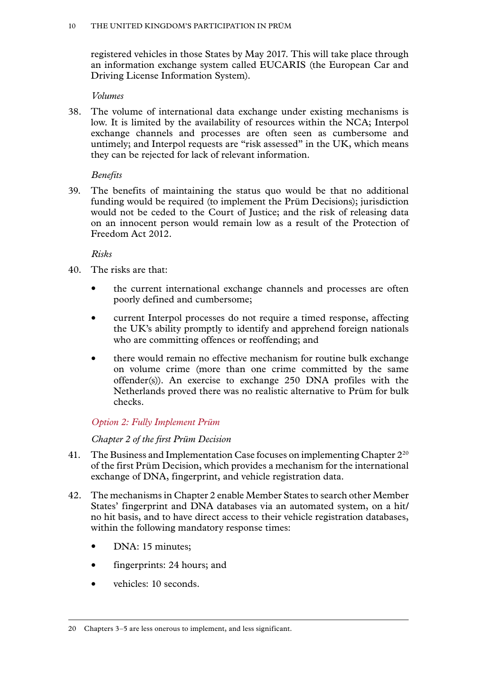<span id="page-11-0"></span>registered vehicles in those States by May 2017. This will take place through an information exchange system called EUCARIS (the European Car and Driving License Information System).

#### *Volumes*

38. The volume of international data exchange under existing mechanisms is low. It is limited by the availability of resources within the NCA; Interpol exchange channels and processes are often seen as cumbersome and untimely; and Interpol requests are "risk assessed" in the UK, which means they can be rejected for lack of relevant information.

# *Benefits*

39. The benefits of maintaining the status quo would be that no additional funding would be required (to implement the Prüm Decisions); jurisdiction would not be ceded to the Court of Justice; and the risk of releasing data on an innocent person would remain low as a result of the Protection of Freedom Act 2012.

*Risks*

- 40. The risks are that:
	- the current international exchange channels and processes are often poorly defined and cumbersome;
	- current Interpol processes do not require a timed response, affecting the UK's ability promptly to identify and apprehend foreign nationals who are committing offences or reoffending; and
	- there would remain no effective mechanism for routine bulk exchange on volume crime (more than one crime committed by the same offender(s)). An exercise to exchange 250 DNA profiles with the Netherlands proved there was no realistic alternative to Prüm for bulk checks.

# *Option 2: Fully Implement Prüm*

*Chapter 2 of the first Prüm Decision*

- 41. The Business and Implementation Case focuses on implementing Chapter  $2^{20}$ of the first Prüm Decision, which provides a mechanism for the international exchange of DNA, fingerprint, and vehicle registration data.
- 42. The mechanisms in Chapter 2 enable Member States to search other Member States' fingerprint and DNA databases via an automated system, on a hit/ no hit basis, and to have direct access to their vehicle registration databases, within the following mandatory response times:
	- DNA: 15 minutes;
	- fingerprints: 24 hours; and
	- vehicles: 10 seconds.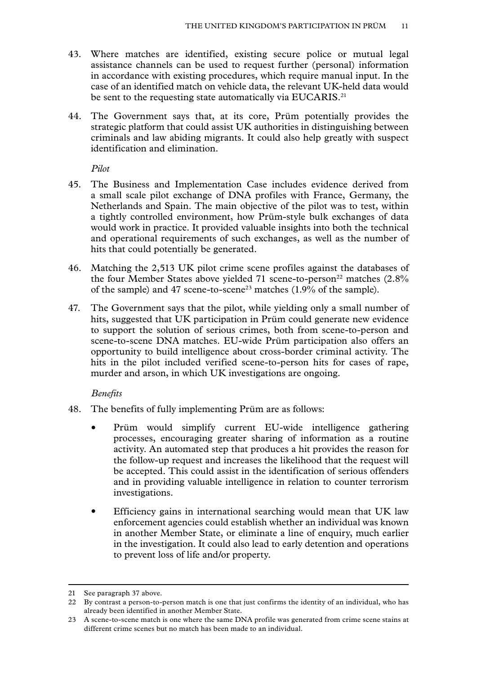- 43. Where matches are identified, existing secure police or mutual legal assistance channels can be used to request further (personal) information in accordance with existing procedures, which require manual input. In the case of an identified match on vehicle data, the relevant UK-held data would be sent to the requesting state automatically via EUCARIS.<sup>21</sup>
- 44. The Government says that, at its core, Prüm potentially provides the strategic platform that could assist UK authorities in distinguishing between criminals and law abiding migrants. It could also help greatly with suspect identification and elimination.

*Pilot*

- 45. The Business and Implementation Case includes evidence derived from a small scale pilot exchange of DNA profiles with France, Germany, the Netherlands and Spain. The main objective of the pilot was to test, within a tightly controlled environment, how Prüm-style bulk exchanges of data would work in practice. It provided valuable insights into both the technical and operational requirements of such exchanges, as well as the number of hits that could potentially be generated.
- 46. Matching the 2,513 UK pilot crime scene profiles against the databases of the four Member States above yielded 71 scene-to-person<sup>22</sup> matches  $(2.8\%$ of the sample) and 47 scene-to-scene<sup>23</sup> matches  $(1.9\%$  of the sample).
- 47. The Government says that the pilot, while yielding only a small number of hits, suggested that UK participation in Prüm could generate new evidence to support the solution of serious crimes, both from scene-to-person and scene-to-scene DNA matches. EU-wide Prüm participation also offers an opportunity to build intelligence about cross-border criminal activity. The hits in the pilot included verified scene-to-person hits for cases of rape, murder and arson, in which UK investigations are ongoing.

#### *Benefits*

- 48. The benefits of fully implementing Prüm are as follows:
	- Prüm would simplify current EU-wide intelligence gathering processes, encouraging greater sharing of information as a routine activity. An automated step that produces a hit provides the reason for the follow-up request and increases the likelihood that the request will be accepted. This could assist in the identification of serious offenders and in providing valuable intelligence in relation to counter terrorism investigations.
	- Efficiency gains in international searching would mean that UK law enforcement agencies could establish whether an individual was known in another Member State, or eliminate a line of enquiry, much earlier in the investigation. It could also lead to early detention and operations to prevent loss of life and/or property.

<sup>21</sup> See paragraph 37 above.

<sup>22</sup> By contrast a person-to-person match is one that just confirms the identity of an individual, who has already been identified in another Member State.

<sup>23</sup> A scene-to-scene match is one where the same DNA profile was generated from crime scene stains at different crime scenes but no match has been made to an individual.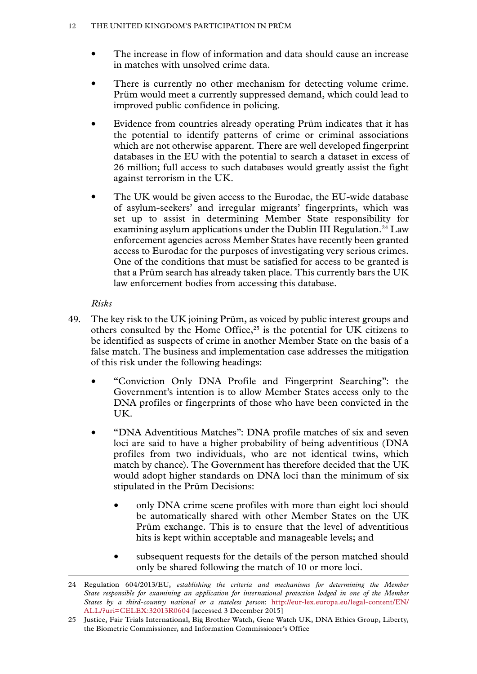- The increase in flow of information and data should cause an increase in matches with unsolved crime data.
- There is currently no other mechanism for detecting volume crime. Prüm would meet a currently suppressed demand, which could lead to improved public confidence in policing.
- Evidence from countries already operating Prüm indicates that it has the potential to identify patterns of crime or criminal associations which are not otherwise apparent. There are well developed fingerprint databases in the EU with the potential to search a dataset in excess of 26 million; full access to such databases would greatly assist the fight against terrorism in the UK.
- The UK would be given access to the Eurodac, the EU-wide database of asylum-seekers' and irregular migrants' fingerprints, which was set up to assist in determining Member State responsibility for examining asylum applications under the Dublin III Regulation.<sup>24</sup> Law enforcement agencies across Member States have recently been granted access to Eurodac for the purposes of investigating very serious crimes. One of the conditions that must be satisfied for access to be granted is that a Prüm search has already taken place. This currently bars the UK law enforcement bodies from accessing this database.

# *Risks*

- 49. The key risk to the UK joining Prüm, as voiced by public interest groups and others consulted by the Home Office,<sup>25</sup> is the potential for UK citizens to be identified as suspects of crime in another Member State on the basis of a false match. The business and implementation case addresses the mitigation of this risk under the following headings:
	- "Conviction Only DNA Profile and Fingerprint Searching": the Government's intention is to allow Member States access only to the DNA profiles or fingerprints of those who have been convicted in the UK.
	- "DNA Adventitious Matches": DNA profile matches of six and seven loci are said to have a higher probability of being adventitious (DNA profiles from two individuals, who are not identical twins, which match by chance). The Government has therefore decided that the UK would adopt higher standards on DNA loci than the minimum of six stipulated in the Prüm Decisions:
		- only DNA crime scene profiles with more than eight loci should be automatically shared with other Member States on the UK Prüm exchange. This is to ensure that the level of adventitious hits is kept within acceptable and manageable levels; and
		- subsequent requests for the details of the person matched should only be shared following the match of 10 or more loci.

<sup>24</sup> Regulation 604/2013/EU, *establishing the criteria and mechanisms for determining the Member State responsible for examining an application for international protection lodged in one of the Member States by a third-country national or a stateless person*: [http://eur-lex.europa.eu/legal-content/EN/](http://eur-lex.europa.eu/legal-content/EN/ALL/?uri=CELEX:32013R0604) [ALL/?uri=CELEX:32013R0604](http://eur-lex.europa.eu/legal-content/EN/ALL/?uri=CELEX:32013R0604) [accessed 3 December 2015]

<sup>25</sup> Justice, Fair Trials International, Big Brother Watch, Gene Watch UK, DNA Ethics Group, Liberty, the Biometric Commissioner, and Information Commissioner's Office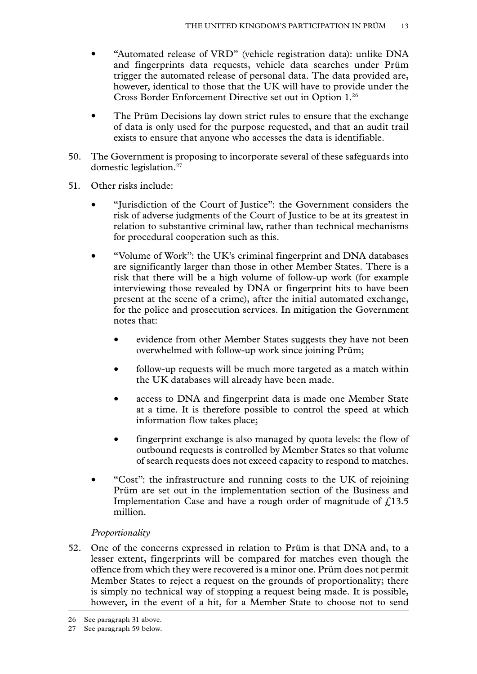- "Automated release of VRD" (vehicle registration data): unlike DNA and fingerprints data requests, vehicle data searches under Prüm trigger the automated release of personal data. The data provided are, however, identical to those that the UK will have to provide under the Cross Border Enforcement Directive set out in Option 1.26
- The Prüm Decisions lay down strict rules to ensure that the exchange of data is only used for the purpose requested, and that an audit trail exists to ensure that anyone who accesses the data is identifiable.
- 50. The Government is proposing to incorporate several of these safeguards into domestic legislation.27
- 51. Other risks include:
	- "Jurisdiction of the Court of Justice": the Government considers the risk of adverse judgments of the Court of Justice to be at its greatest in relation to substantive criminal law, rather than technical mechanisms for procedural cooperation such as this.
	- "Volume of Work": the UK's criminal fingerprint and DNA databases are significantly larger than those in other Member States. There is a risk that there will be a high volume of follow-up work (for example interviewing those revealed by DNA or fingerprint hits to have been present at the scene of a crime), after the initial automated exchange, for the police and prosecution services. In mitigation the Government notes that:
		- evidence from other Member States suggests they have not been overwhelmed with follow-up work since joining Prüm;
		- follow-up requests will be much more targeted as a match within the UK databases will already have been made.
		- access to DNA and fingerprint data is made one Member State at a time. It is therefore possible to control the speed at which information flow takes place;
		- fingerprint exchange is also managed by quota levels: the flow of outbound requests is controlled by Member States so that volume of search requests does not exceed capacity to respond to matches.
	- "Cost": the infrastructure and running costs to the UK of rejoining Prüm are set out in the implementation section of the Business and Implementation Case and have a rough order of magnitude of  $\text{\textsterling}13.5$ million.

#### *Proportionality*

52. One of the concerns expressed in relation to Prüm is that DNA and, to a lesser extent, fingerprints will be compared for matches even though the offence from which they were recovered is a minor one. Prüm does not permit Member States to reject a request on the grounds of proportionality; there is simply no technical way of stopping a request being made. It is possible, however, in the event of a hit, for a Member State to choose not to send

<sup>26</sup> See paragraph 31 above.

<sup>27</sup> See paragraph 59 below.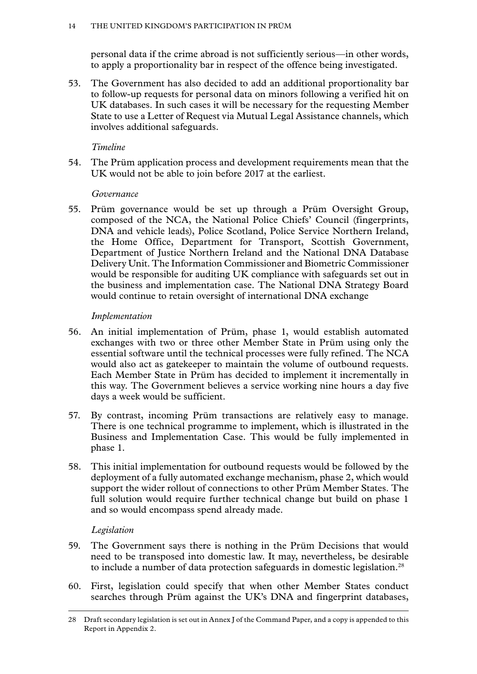personal data if the crime abroad is not sufficiently serious—in other words, to apply a proportionality bar in respect of the offence being investigated.

53. The Government has also decided to add an additional proportionality bar to follow-up requests for personal data on minors following a verified hit on UK databases. In such cases it will be necessary for the requesting Member State to use a Letter of Request via Mutual Legal Assistance channels, which involves additional safeguards.

# *Timeline*

54. The Prüm application process and development requirements mean that the UK would not be able to join before 2017 at the earliest.

# *Governance*

55. Prüm governance would be set up through a Prüm Oversight Group, composed of the NCA, the National Police Chiefs' Council (fingerprints, DNA and vehicle leads), Police Scotland, Police Service Northern Ireland, the Home Office, Department for Transport, Scottish Government, Department of Justice Northern Ireland and the National DNA Database Delivery Unit. The Information Commissioner and Biometric Commissioner would be responsible for auditing UK compliance with safeguards set out in the business and implementation case. The National DNA Strategy Board would continue to retain oversight of international DNA exchange

# *Implementation*

- 56. An initial implementation of Prüm, phase 1, would establish automated exchanges with two or three other Member State in Prüm using only the essential software until the technical processes were fully refined. The NCA would also act as gatekeeper to maintain the volume of outbound requests. Each Member State in Prüm has decided to implement it incrementally in this way. The Government believes a service working nine hours a day five days a week would be sufficient.
- 57. By contrast, incoming Prüm transactions are relatively easy to manage. There is one technical programme to implement, which is illustrated in the Business and Implementation Case. This would be fully implemented in phase 1.
- 58. This initial implementation for outbound requests would be followed by the deployment of a fully automated exchange mechanism, phase 2, which would support the wider rollout of connections to other Prüm Member States. The full solution would require further technical change but build on phase 1 and so would encompass spend already made.

# *Legislation*

- 59. The Government says there is nothing in the Prüm Decisions that would need to be transposed into domestic law. It may, nevertheless, be desirable to include a number of data protection safeguards in domestic legislation.28
- 60. First, legislation could specify that when other Member States conduct searches through Prüm against the UK's DNA and fingerprint databases,

<sup>28</sup> Draft secondary legislation is set out in Annex J of the Command Paper, and a copy is appended to this Report in Appendix 2.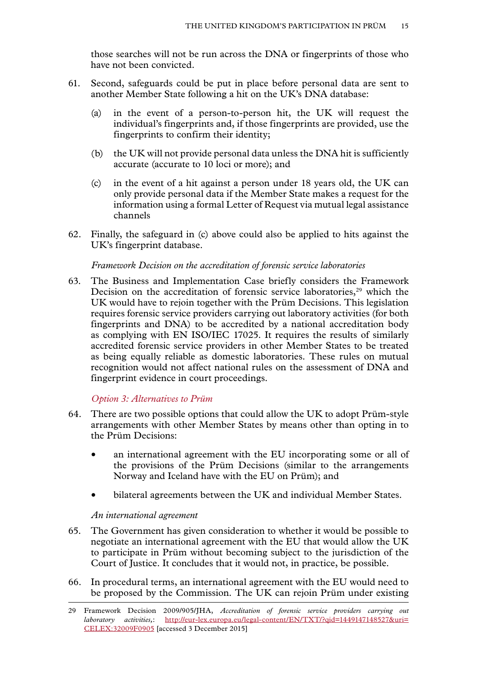<span id="page-16-0"></span>those searches will not be run across the DNA or fingerprints of those who have not been convicted.

- 61. Second, safeguards could be put in place before personal data are sent to another Member State following a hit on the UK's DNA database:
	- (a) in the event of a person-to-person hit, the UK will request the individual's fingerprints and, if those fingerprints are provided, use the fingerprints to confirm their identity;
	- (b) the UK will not provide personal data unless the DNA hit is sufficiently accurate (accurate to 10 loci or more); and
	- (c) in the event of a hit against a person under 18 years old, the UK can only provide personal data if the Member State makes a request for the information using a formal Letter of Request via mutual legal assistance channels
- 62. Finally, the safeguard in (c) above could also be applied to hits against the UK's fingerprint database.

#### *Framework Decision on the accreditation of forensic service laboratories*

63. The Business and Implementation Case briefly considers the Framework Decision on the accreditation of forensic service laboratories,<sup>29</sup> which the UK would have to rejoin together with the Prüm Decisions. This legislation requires forensic service providers carrying out laboratory activities (for both fingerprints and DNA) to be accredited by a national accreditation body as complying with EN ISO/IEC 17025. It requires the results of similarly accredited forensic service providers in other Member States to be treated as being equally reliable as domestic laboratories. These rules on mutual recognition would not affect national rules on the assessment of DNA and fingerprint evidence in court proceedings.

*Option 3: Alternatives to Prüm*

- 64. There are two possible options that could allow the UK to adopt Prüm-style arrangements with other Member States by means other than opting in to the Prüm Decisions:
	- an international agreement with the EU incorporating some or all of the provisions of the Prüm Decisions (similar to the arrangements Norway and Iceland have with the EU on Prüm); and
	- bilateral agreements between the UK and individual Member States.

#### *An international agreement*

- 65. The Government has given consideration to whether it would be possible to negotiate an international agreement with the EU that would allow the UK to participate in Prüm without becoming subject to the jurisdiction of the Court of Justice. It concludes that it would not, in practice, be possible.
- 66. In procedural terms, an international agreement with the EU would need to be proposed by the Commission. The UK can rejoin Prüm under existing

<sup>29</sup> Framework Decision 2009/905/JHA, *Accreditation of forensic service providers carrying out laboratory activities,*: [http://eur-lex.europa.eu/legal-content/EN/TXT/?qid=1449147148527&uri=](http://eur-lex.europa.eu/legal-content/EN/TXT/?qid=1449147148527&uri=CELEX:32009F0905) [CELEX:32009F0905](http://eur-lex.europa.eu/legal-content/EN/TXT/?qid=1449147148527&uri=CELEX:32009F0905) [accessed 3 December 2015]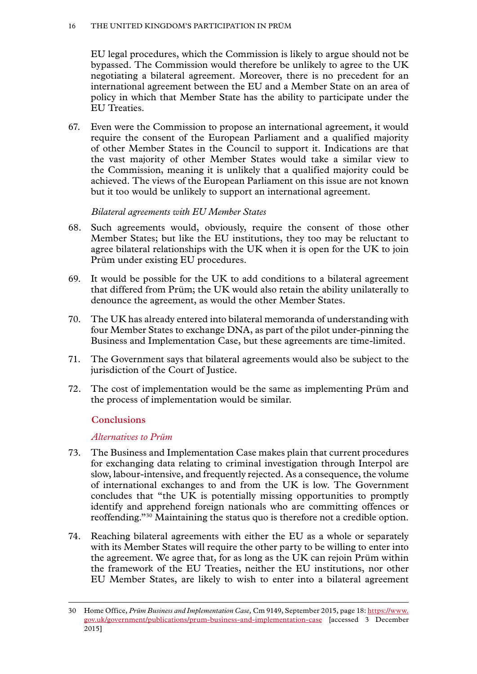<span id="page-17-0"></span>EU legal procedures, which the Commission is likely to argue should not be bypassed. The Commission would therefore be unlikely to agree to the UK negotiating a bilateral agreement. Moreover, there is no precedent for an international agreement between the EU and a Member State on an area of policy in which that Member State has the ability to participate under the EU Treaties.

67. Even were the Commission to propose an international agreement, it would require the consent of the European Parliament and a qualified majority of other Member States in the Council to support it. Indications are that the vast majority of other Member States would take a similar view to the Commission, meaning it is unlikely that a qualified majority could be achieved. The views of the European Parliament on this issue are not known but it too would be unlikely to support an international agreement.

# *Bilateral agreements with EU Member States*

- 68. Such agreements would, obviously, require the consent of those other Member States; but like the EU institutions, they too may be reluctant to agree bilateral relationships with the UK when it is open for the UK to join Prüm under existing EU procedures.
- 69. It would be possible for the UK to add conditions to a bilateral agreement that differed from Prüm; the UK would also retain the ability unilaterally to denounce the agreement, as would the other Member States.
- 70. The UK has already entered into bilateral memoranda of understanding with four Member States to exchange DNA, as part of the pilot under-pinning the Business and Implementation Case, but these agreements are time-limited.
- 71. The Government says that bilateral agreements would also be subject to the jurisdiction of the Court of Justice.
- 72. The cost of implementation would be the same as implementing Prüm and the process of implementation would be similar.

# **Conclusions**

#### *Alternatives to Prüm*

- 73. The Business and Implementation Case makes plain that current procedures for exchanging data relating to criminal investigation through Interpol are slow, labour-intensive, and frequently rejected. As a consequence, the volume of international exchanges to and from the UK is low. The Government concludes that "the UK is potentially missing opportunities to promptly identify and apprehend foreign nationals who are committing offences or reoffending."30 Maintaining the status quo is therefore not a credible option.
- 74. Reaching bilateral agreements with either the EU as a whole or separately with its Member States will require the other party to be willing to enter into the agreement. We agree that, for as long as the UK can rejoin Prüm within the framework of the EU Treaties, neither the EU institutions, nor other EU Member States, are likely to wish to enter into a bilateral agreement

<sup>30</sup> Home Office, *Prüm Business and Implementation Case,* Cm 9149, September 2015, page 18: [https://www.](https://www.gov.uk/government/publications/prum-business-and-implementation-case) [gov.uk/government/publications/prum-business-and-implementation-case](https://www.gov.uk/government/publications/prum-business-and-implementation-case) [accessed 3 December 2015]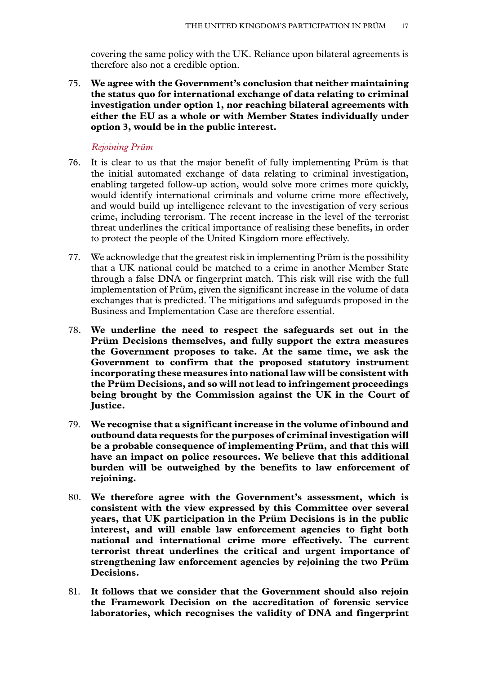<span id="page-18-0"></span>covering the same policy with the UK. Reliance upon bilateral agreements is therefore also not a credible option.

75. **We agree with the Government's conclusion that neither maintaining the status quo for international exchange of data relating to criminal investigation under option 1, nor reaching bilateral agreements with either the EU as a whole or with Member States individually under option 3, would be in the public interest.**

#### *Rejoining Prüm*

- 76. It is clear to us that the major benefit of fully implementing Prüm is that the initial automated exchange of data relating to criminal investigation, enabling targeted follow-up action, would solve more crimes more quickly, would identify international criminals and volume crime more effectively, and would build up intelligence relevant to the investigation of very serious crime, including terrorism. The recent increase in the level of the terrorist threat underlines the critical importance of realising these benefits, in order to protect the people of the United Kingdom more effectively.
- 77. We acknowledge that the greatest risk in implementing Prüm is the possibility that a UK national could be matched to a crime in another Member State through a false DNA or fingerprint match. This risk will rise with the full implementation of Prüm, given the significant increase in the volume of data exchanges that is predicted. The mitigations and safeguards proposed in the Business and Implementation Case are therefore essential.
- 78. **We underline the need to respect the safeguards set out in the Prüm Decisions themselves, and fully support the extra measures the Government proposes to take. At the same time, we ask the Government to confirm that the proposed statutory instrument incorporating these measures into national law will be consistent with the Prüm Decisions, and so will not lead to infringement proceedings being brought by the Commission against the UK in the Court of Justice.**
- 79. **We recognise that a significant increase in the volume of inbound and outbound data requests for the purposes of criminal investigation will be a probable consequence of implementing Prüm, and that this will have an impact on police resources. We believe that this additional burden will be outweighed by the benefits to law enforcement of rejoining.**
- 80. **We therefore agree with the Government's assessment, which is consistent with the view expressed by this Committee over several years, that UK participation in the Prüm Decisions is in the public interest, and will enable law enforcement agencies to fight both national and international crime more effectively. The current terrorist threat underlines the critical and urgent importance of strengthening law enforcement agencies by rejoining the two Prüm Decisions.**
- 81. **It follows that we consider that the Government should also rejoin the Framework Decision on the accreditation of forensic service laboratories, which recognises the validity of DNA and fingerprint**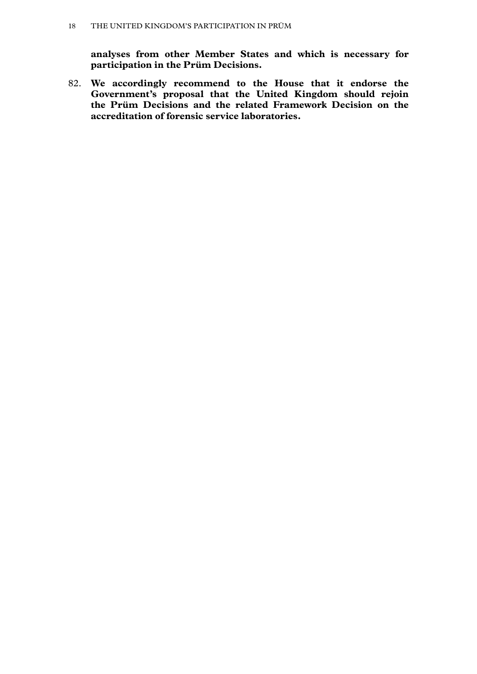**analyses from other Member States and which is necessary for participation in the Prüm Decisions.**

82. **We accordingly recommend to the House that it endorse the Government's proposal that the United Kingdom should rejoin the Prüm Decisions and the related Framework Decision on the accreditation of forensic service laboratories.**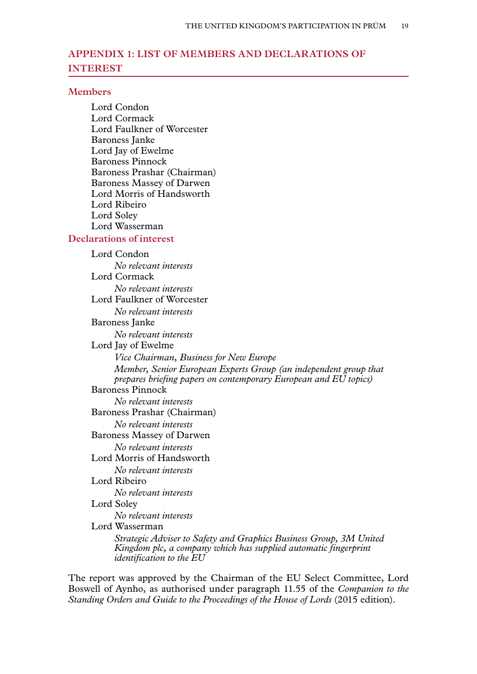# <span id="page-20-0"></span>**Appendix 1: LIST OF MEMBERS AND DECLARATIONS OF INTEREST**

#### **Members**

Lord Condon Lord Cormack Lord Faulkner of Worcester Baroness Janke Lord Jay of Ewelme Baroness Pinnock Baroness Prashar (Chairman) Baroness Massey of Darwen Lord Morris of Handsworth Lord Ribeiro Lord Soley Lord Wasserman

#### **Declarations of interest**

Lord Condon *No relevant interests* Lord Cormack *No relevant interests* Lord Faulkner of Worcester *No relevant interests* Baroness Janke *No relevant interests* Lord Jay of Ewelme *Vice Chairman, Business for New Europe Member, Senior European Experts Group (an independent group that prepares briefing papers on contemporary European and EU topics)* Baroness Pinnock *No relevant interests* Baroness Prashar (Chairman) *No relevant interests* Baroness Massey of Darwen *No relevant interests* Lord Morris of Handsworth *No relevant interests* Lord Ribeiro *No relevant interests* Lord Soley *No relevant interests* Lord Wasserman *Strategic Adviser to Safety and Graphics Business Group, 3M United Kingdom plc, a company which has supplied automatic fingerprint identification to the EU*

The report was approved by the Chairman of the EU Select Committee, Lord Boswell of Aynho, as authorised under paragraph 11.55 of the *Companion to the Standing Orders and Guide to the Proceedings of the House of Lords (2015 edition).*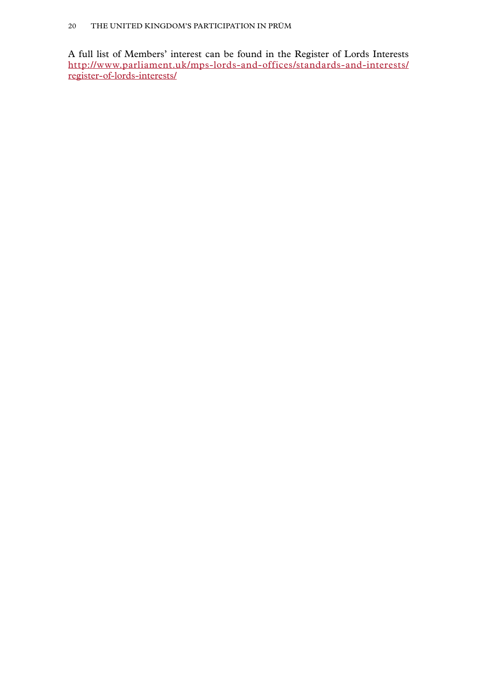A full list of Members' interest can be found in the Register of Lords Interests [http://www.parliament.uk/mps-lords-and-offices/standards-and-interests/](http://www.parliament.uk/mps-lords-and-offices/standards-and-interests/register-of-lords-interests/) [register-of-lords-interests/](http://www.parliament.uk/mps-lords-and-offices/standards-and-interests/register-of-lords-interests/)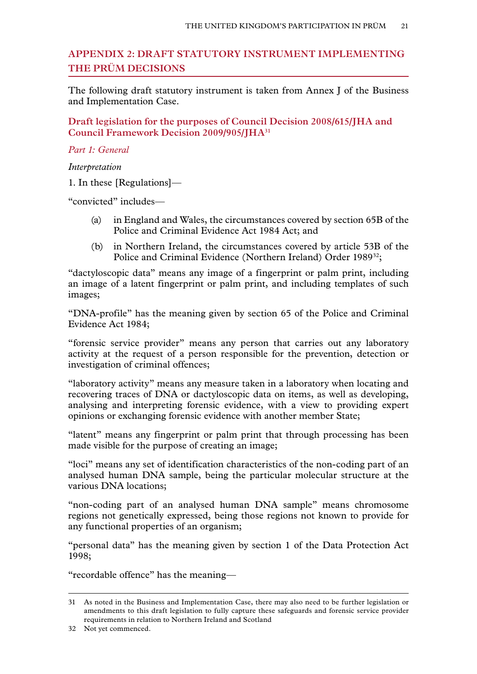# <span id="page-22-0"></span>**Appendix 2: DRAFT STATUTORY INSTRUMENT IMPLEMENTING THE PRÜM DECISIONS**

The following draft statutory instrument is taken from Annex J of the Business and Implementation Case.

**Draft legislation for the purposes of Council Decision 2008/615/JHA and Council Framework Decision 2009/905/JHA31**

*Part 1: General*

*Interpretation*

1. In these [Regulations]—

"convicted" includes—

- (a) in England and Wales, the circumstances covered by section 65B of the Police and Criminal Evidence Act 1984 Act; and
- (b) in Northern Ireland, the circumstances covered by article 53B of the Police and Criminal Evidence (Northern Ireland) Order 1989<sup>32</sup>;

"dactyloscopic data" means any image of a fingerprint or palm print, including an image of a latent fingerprint or palm print, and including templates of such images;

"DNA-profile" has the meaning given by section 65 of the Police and Criminal Evidence Act 1984;

"forensic service provider" means any person that carries out any laboratory activity at the request of a person responsible for the prevention, detection or investigation of criminal offences;

"laboratory activity" means any measure taken in a laboratory when locating and recovering traces of DNA or dactyloscopic data on items, as well as developing, analysing and interpreting forensic evidence, with a view to providing expert opinions or exchanging forensic evidence with another member State;

"latent" means any fingerprint or palm print that through processing has been made visible for the purpose of creating an image;

"loci" means any set of identification characteristics of the non-coding part of an analysed human DNA sample, being the particular molecular structure at the various DNA locations;

"non-coding part of an analysed human DNA sample" means chromosome regions not genetically expressed, being those regions not known to provide for any functional properties of an organism;

"personal data" has the meaning given by section 1 of the Data Protection Act 1998;

"recordable offence" has the meaning—

<sup>31</sup> As noted in the Business and Implementation Case, there may also need to be further legislation or amendments to this draft legislation to fully capture these safeguards and forensic service provider requirements in relation to Northern Ireland and Scotland

<sup>32</sup> Not yet commenced.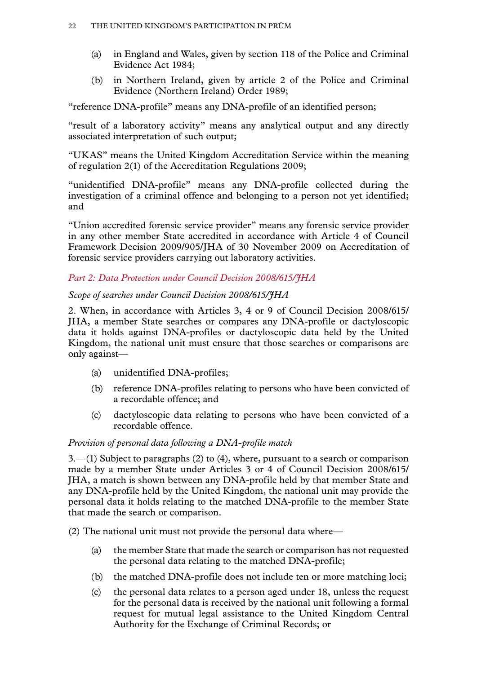- (a) in England and Wales, given by section 118 of the Police and Criminal Evidence Act 1984;
- (b) in Northern Ireland, given by article 2 of the Police and Criminal Evidence (Northern Ireland) Order 1989;

"reference DNA-profile" means any DNA-profile of an identified person;

"result of a laboratory activity" means any analytical output and any directly associated interpretation of such output;

"UKAS" means the United Kingdom Accreditation Service within the meaning of regulation 2(1) of the Accreditation Regulations 2009;

"unidentified DNA-profile" means any DNA-profile collected during the investigation of a criminal offence and belonging to a person not yet identified; and

"Union accredited forensic service provider" means any forensic service provider in any other member State accredited in accordance with Article 4 of Council Framework Decision 2009/905/JHA of 30 November 2009 on Accreditation of forensic service providers carrying out laboratory activities.

# *Part 2: Data Protection under Council Decision 2008/615/JHA*

# *Scope of searches under Council Decision 2008/615/JHA*

2. When, in accordance with Articles 3, 4 or 9 of Council Decision 2008/615/ JHA, a member State searches or compares any DNA-profile or dactyloscopic data it holds against DNA-profiles or dactyloscopic data held by the United Kingdom, the national unit must ensure that those searches or comparisons are only against—

- (a) unidentified DNA-profiles;
- (b) reference DNA-profiles relating to persons who have been convicted of a recordable offence; and
- (c) dactyloscopic data relating to persons who have been convicted of a recordable offence.

# *Provision of personal data following a DNA-profile match*

3.—(1) Subject to paragraphs (2) to (4), where, pursuant to a search or comparison made by a member State under Articles 3 or 4 of Council Decision 2008/615/ JHA, a match is shown between any DNA-profile held by that member State and any DNA-profile held by the United Kingdom, the national unit may provide the personal data it holds relating to the matched DNA-profile to the member State that made the search or comparison.

(2) The national unit must not provide the personal data where—

- (a) the member State that made the search or comparison has not requested the personal data relating to the matched DNA-profile;
- (b) the matched DNA-profile does not include ten or more matching loci;
- (c) the personal data relates to a person aged under 18, unless the request for the personal data is received by the national unit following a formal request for mutual legal assistance to the United Kingdom Central Authority for the Exchange of Criminal Records; or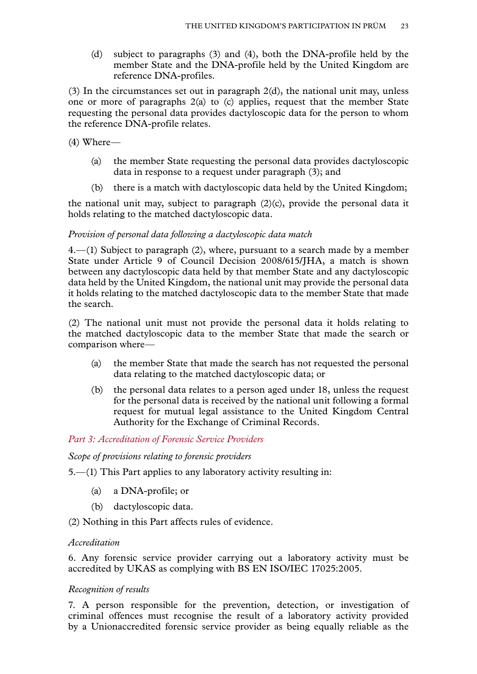(d) subject to paragraphs (3) and (4), both the DNA-profile held by the member State and the DNA-profile held by the United Kingdom are reference DNA-profiles.

(3) In the circumstances set out in paragraph 2(d), the national unit may, unless one or more of paragraphs 2(a) to (c) applies, request that the member State requesting the personal data provides dactyloscopic data for the person to whom the reference DNA-profile relates.

(4) Where—

- (a) the member State requesting the personal data provides dactyloscopic data in response to a request under paragraph (3); and
- (b) there is a match with dactyloscopic data held by the United Kingdom;

the national unit may, subject to paragraph (2)(c), provide the personal data it holds relating to the matched dactyloscopic data.

#### *Provision of personal data following a dactyloscopic data match*

4.—(1) Subject to paragraph (2), where, pursuant to a search made by a member State under Article 9 of Council Decision 2008/615/JHA, a match is shown between any dactyloscopic data held by that member State and any dactyloscopic data held by the United Kingdom, the national unit may provide the personal data it holds relating to the matched dactyloscopic data to the member State that made the search.

(2) The national unit must not provide the personal data it holds relating to the matched dactyloscopic data to the member State that made the search or comparison where—

- (a) the member State that made the search has not requested the personal data relating to the matched dactyloscopic data; or
- (b) the personal data relates to a person aged under 18, unless the request for the personal data is received by the national unit following a formal request for mutual legal assistance to the United Kingdom Central Authority for the Exchange of Criminal Records.

#### *Part 3: Accreditation of Forensic Service Providers*

*Scope of provisions relating to forensic providers*

5.—(1) This Part applies to any laboratory activity resulting in:

- (a) a DNA-profile; or
- (b) dactyloscopic data.

(2) Nothing in this Part affects rules of evidence.

#### *Accreditation*

6. Any forensic service provider carrying out a laboratory activity must be accredited by UKAS as complying with BS EN ISO/IEC 17025:2005.

#### *Recognition of results*

7. A person responsible for the prevention, detection, or investigation of criminal offences must recognise the result of a laboratory activity provided by a Unionaccredited forensic service provider as being equally reliable as the